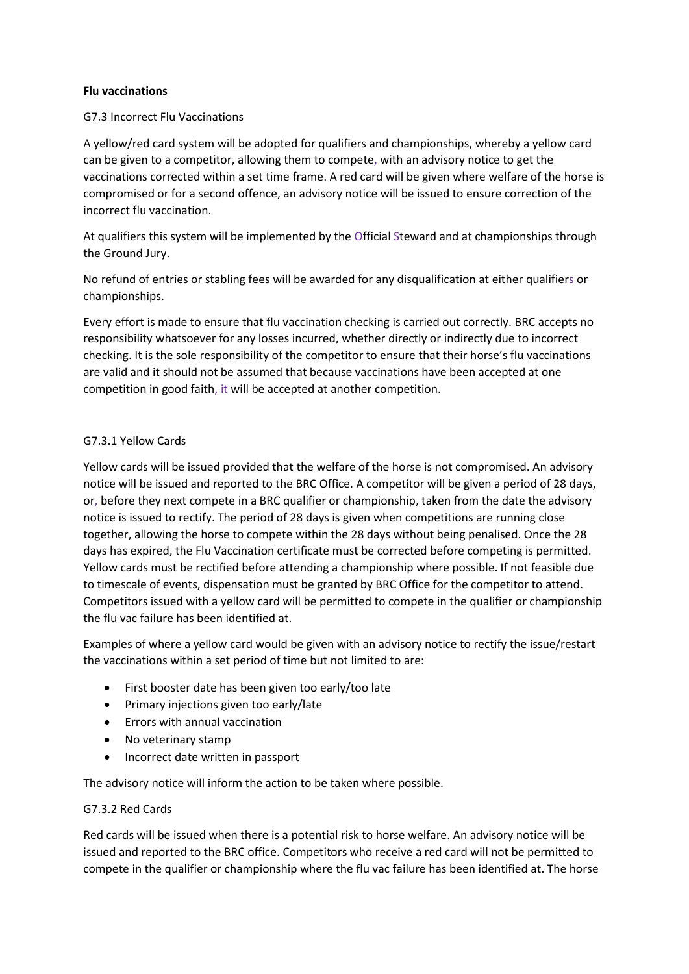### **Flu vaccinations**

## G7.3 Incorrect Flu Vaccinations

A yellow/red card system will be adopted for qualifiers and championships, whereby a yellow card can be given to a competitor, allowing them to compete, with an advisory notice to get the vaccinations corrected within a set time frame. A red card will be given where welfare of the horse is compromised or for a second offence, an advisory notice will be issued to ensure correction of the incorrect flu vaccination.

At qualifiers this system will be implemented by the Official Steward and at championships through the Ground Jury.

No refund of entries or stabling fees will be awarded for any disqualification at either qualifiers or championships.

Every effort is made to ensure that flu vaccination checking is carried out correctly. BRC accepts no responsibility whatsoever for any losses incurred, whether directly or indirectly due to incorrect checking. It is the sole responsibility of the competitor to ensure that their horse's flu vaccinations are valid and it should not be assumed that because vaccinations have been accepted at one competition in good faith, it will be accepted at another competition.

## G7.3.1 Yellow Cards

Yellow cards will be issued provided that the welfare of the horse is not compromised. An advisory notice will be issued and reported to the BRC Office. A competitor will be given a period of 28 days, or, before they next compete in a BRC qualifier or championship, taken from the date the advisory notice is issued to rectify. The period of 28 days is given when competitions are running close together, allowing the horse to compete within the 28 days without being penalised. Once the 28 days has expired, the Flu Vaccination certificate must be corrected before competing is permitted. Yellow cards must be rectified before attending a championship where possible. If not feasible due to timescale of events, dispensation must be granted by BRC Office for the competitor to attend. Competitors issued with a yellow card will be permitted to compete in the qualifier or championship the flu vac failure has been identified at.

Examples of where a yellow card would be given with an advisory notice to rectify the issue/restart the vaccinations within a set period of time but not limited to are:

- First booster date has been given too early/too late
- Primary injections given too early/late
- Errors with annual vaccination
- No veterinary stamp
- Incorrect date written in passport

The advisory notice will inform the action to be taken where possible.

# G7.3.2 Red Cards

Red cards will be issued when there is a potential risk to horse welfare. An advisory notice will be issued and reported to the BRC office. Competitors who receive a red card will not be permitted to compete in the qualifier or championship where the flu vac failure has been identified at. The horse